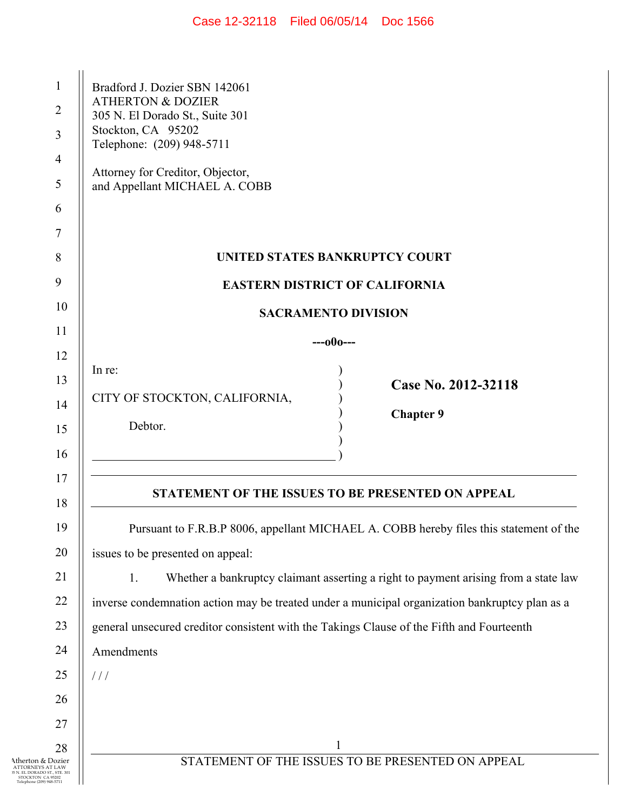| Case 12-32118 | Filed 06/05/14 | Doc 1566 |
|---------------|----------------|----------|
|---------------|----------------|----------|

| 1<br>$\overline{2}$<br>3<br>4<br>5                                                                                     | Bradford J. Dozier SBN 142061<br><b>ATHERTON &amp; DOZIER</b><br>305 N. El Dorado St., Suite 301<br>Stockton, CA 95202<br>Telephone: (209) 948-5711<br>Attorney for Creditor, Objector,<br>and Appellant MICHAEL A. COBB |  |
|------------------------------------------------------------------------------------------------------------------------|--------------------------------------------------------------------------------------------------------------------------------------------------------------------------------------------------------------------------|--|
| 6                                                                                                                      |                                                                                                                                                                                                                          |  |
| 7                                                                                                                      |                                                                                                                                                                                                                          |  |
| 8                                                                                                                      | UNITED STATES BANKRUPTCY COURT                                                                                                                                                                                           |  |
| 9                                                                                                                      | <b>EASTERN DISTRICT OF CALIFORNIA</b>                                                                                                                                                                                    |  |
| 10                                                                                                                     | <b>SACRAMENTO DIVISION</b>                                                                                                                                                                                               |  |
| 11                                                                                                                     | $---000---$                                                                                                                                                                                                              |  |
| 12                                                                                                                     | In re:                                                                                                                                                                                                                   |  |
| 13                                                                                                                     | Case No. 2012-32118<br>CITY OF STOCKTON, CALIFORNIA,                                                                                                                                                                     |  |
| 14<br>15                                                                                                               | <b>Chapter 9</b><br>Debtor.                                                                                                                                                                                              |  |
| 16                                                                                                                     |                                                                                                                                                                                                                          |  |
| 17                                                                                                                     |                                                                                                                                                                                                                          |  |
| 18                                                                                                                     | STATEMENT OF THE ISSUES TO BE PRESENTED ON APPEAL                                                                                                                                                                        |  |
| 19                                                                                                                     | Pursuant to F.R.B.P 8006, appellant MICHAEL A. COBB hereby files this statement of the                                                                                                                                   |  |
| 20                                                                                                                     | issues to be presented on appeal:                                                                                                                                                                                        |  |
| 21                                                                                                                     | 1.<br>Whether a bankruptcy claimant asserting a right to payment arising from a state law                                                                                                                                |  |
| 22                                                                                                                     | inverse condemnation action may be treated under a municipal organization bankruptcy plan as a                                                                                                                           |  |
| 23                                                                                                                     | general unsecured creditor consistent with the Takings Clause of the Fifth and Fourteenth                                                                                                                                |  |
| 24                                                                                                                     | Amendments                                                                                                                                                                                                               |  |
| 25                                                                                                                     | 111                                                                                                                                                                                                                      |  |
| 26                                                                                                                     |                                                                                                                                                                                                                          |  |
| 27                                                                                                                     |                                                                                                                                                                                                                          |  |
| 28<br>Atherton & Dozier<br><b>ATTORNEYS AT LAW</b><br>EL DORADO ST., STE. 301<br>STOCKTON CA 95202<br>ne (209) 948-571 | $\mathbf{1}$<br>STATEMENT OF THE ISSUES TO BE PRESENTED ON APPEAL                                                                                                                                                        |  |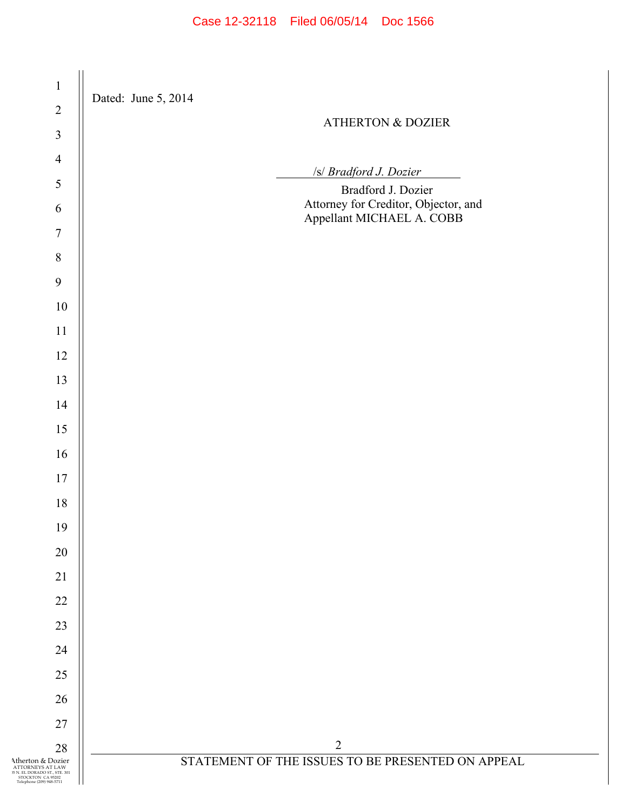| $\,1$                                                                                                                   | Dated: June 5, 2014                                               |
|-------------------------------------------------------------------------------------------------------------------------|-------------------------------------------------------------------|
| $\sqrt{2}$                                                                                                              | <b>ATHERTON &amp; DOZIER</b>                                      |
| $\mathfrak{Z}$                                                                                                          |                                                                   |
| $\overline{4}$                                                                                                          |                                                                   |
| 5                                                                                                                       | /s/ Bradford J. Dozier<br>Bradford J. Dozier                      |
| $\sqrt{6}$                                                                                                              | Attorney for Creditor, Objector, and<br>Appellant MICHAEL A. COBB |
| $\boldsymbol{7}$                                                                                                        |                                                                   |
| $\,8\,$                                                                                                                 |                                                                   |
| 9                                                                                                                       |                                                                   |
| $10\,$                                                                                                                  |                                                                   |
| 11                                                                                                                      |                                                                   |
| 12                                                                                                                      |                                                                   |
| 13                                                                                                                      |                                                                   |
| 14                                                                                                                      |                                                                   |
| 15                                                                                                                      |                                                                   |
| 16                                                                                                                      |                                                                   |
| $17$                                                                                                                    |                                                                   |
| $18\,$                                                                                                                  |                                                                   |
| 19                                                                                                                      |                                                                   |
| 20                                                                                                                      |                                                                   |
| 21                                                                                                                      |                                                                   |
| 22                                                                                                                      |                                                                   |
| 23                                                                                                                      |                                                                   |
| 24                                                                                                                      |                                                                   |
| 25                                                                                                                      |                                                                   |
| 26                                                                                                                      |                                                                   |
| 27                                                                                                                      |                                                                   |
| 28                                                                                                                      | $\overline{2}$                                                    |
| Atherton & Dozier<br>ATTORNEYS AT LAW<br>15 N. EL DORADO ST., STE. 301<br>STOCKTON CA 95202<br>Telephone (209) 948-5711 | STATEMENT OF THE ISSUES TO BE PRESENTED ON APPEAL                 |